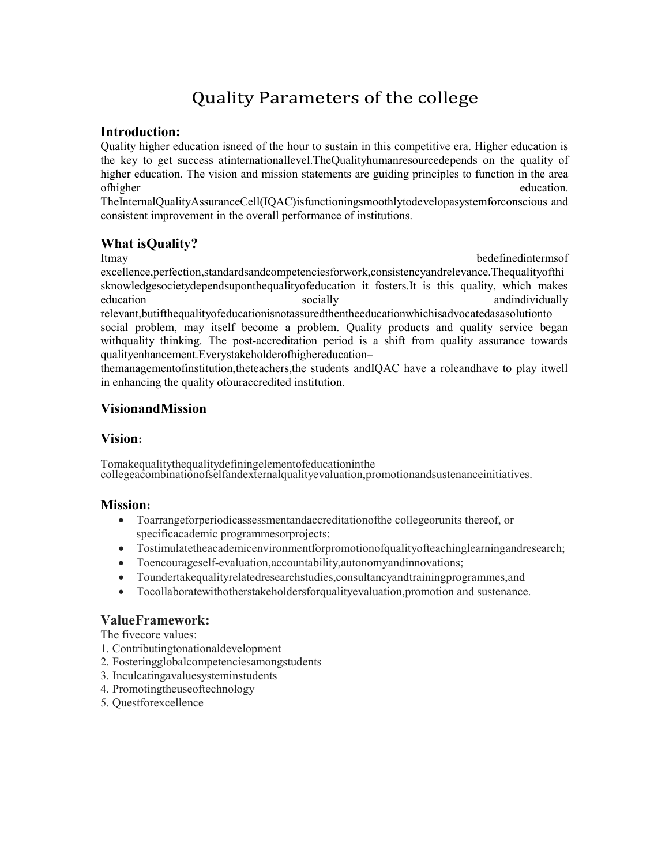# Quality Parameters of the college

### Introduction:

Quality higher education isneed of the hour to sustain in this competitive era. Higher education is the key to get success atinternationallevel.TheQualityhumanresourcedepends on the quality of higher education. The vision and mission statements are guiding principles to function in the area of higher education.

TheInternalQualityAssuranceCell(IQAC)isfunctioningsmoothlytodevelopasystemforconscious and consistent improvement in the overall performance of institutions.

# What isQuality?

Itmay bedefinedinterms of

excellence,perfection,standardsandcompetenciesforwork,consistencyandrelevance.Thequalityofthi sknowledgesocietydependsuponthequalityofeducation it fosters.It is this quality, which makes education socially socially and individually and socially socially and and andindividually relevant,butifthequalityofeducationisnotassuredthentheeducationwhichisadvocatedasasolutionto social problem, may itself become a problem. Quality products and quality service began withquality thinking. The post-accreditation period is a shift from quality assurance towards

qualityenhancement.Everystakeholderofhighereducation–

themanagementofinstitution,theteachers,the students andIQAC have a roleandhave to play itwell in enhancing the quality ofouraccredited institution.

# VisionandMission

## Vision:

Tomakequalitythequalitydefiningelementofeducationinthe collegeacombinationofselfandexternalqualityevaluation,promotionandsustenanceinitiatives.

### Mission:

- Toarrangeforperiodicassessmentandaccreditationofthe collegeorunits thereof, or specificacademic programmesorprojects;
- Tostimulatetheacademicenvironmentforpromotionofqualityofteachinglearningandresearch;
- Toencourageself-evaluation,accountability,autonomyandinnovations;
- Toundertakequalityrelatedresearchstudies,consultancyandtrainingprogrammes,and
- Tocollaboratewithotherstakeholdersforqualityevaluation,promotion and sustenance.

# ValueFramework:

The fivecore values:

- 1. Contributingtonationaldevelopment
- 2. Fosteringglobalcompetenciesamongstudents
- 3. Inculcatingavaluesysteminstudents
- 4. Promotingtheuseoftechnology
- 5. Questforexcellence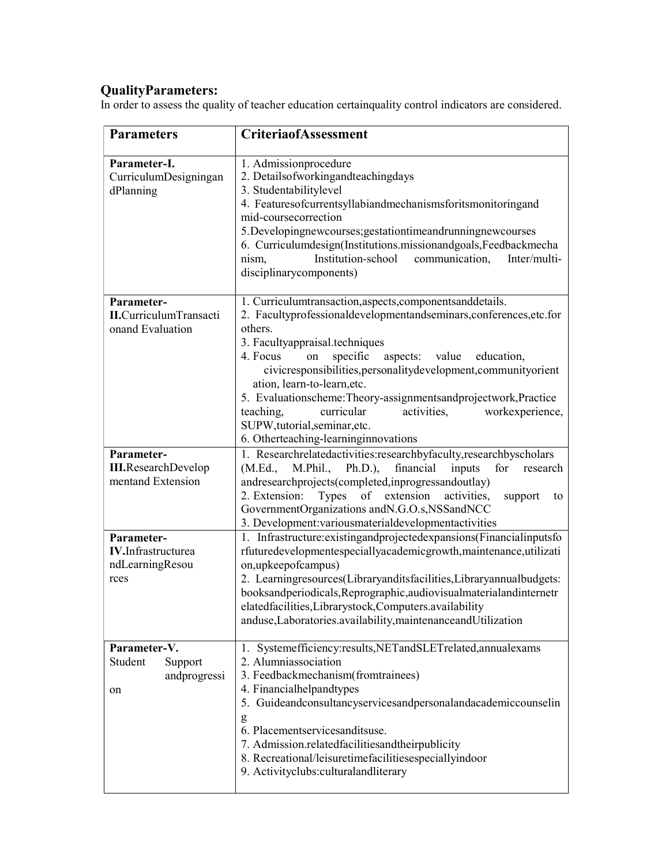### QualityParameters:

In order to assess the quality of teacher education certainquality control indicators are considered.

| <b>Parameters</b>                                                | <b>CriteriaofAssessment</b>                                                                                                                                                                                                                                                                                                                                                                                                                                                                                                                        |
|------------------------------------------------------------------|----------------------------------------------------------------------------------------------------------------------------------------------------------------------------------------------------------------------------------------------------------------------------------------------------------------------------------------------------------------------------------------------------------------------------------------------------------------------------------------------------------------------------------------------------|
| Parameter-I.<br>CurriculumDesigningan<br>dPlanning               | 1. Admissionprocedure<br>2. Detailsofworkingandteachingdays<br>3. Studentabilitylevel<br>4. Featuresofcurrentsyllabiandmechanismsforitsmonitoringand<br>mid-coursecorrection<br>5. Developingnewcourses; gestationtimeandrunningnewcourses<br>6. Curriculumdesign(Institutions.missionandgoals,Feedbackmecha<br>Institution-school<br>nism,<br>communication,<br>Inter/multi-<br>disciplinarycomponents)                                                                                                                                           |
| Parameter-<br><b>II.</b> CurriculumTransacti<br>onand Evaluation | 1. Curriculumtransaction, aspects, components and details.<br>2. Facultyprofessionaldevelopmentandseminars, conferences, etc.for<br>others.<br>3. Facultyappraisal.techniques<br>4. Focus<br>specific<br>aspects: value<br>on<br>education,<br>civicresponsibilities, personalitydevelopment, communityorient<br>ation, learn-to-learn, etc.<br>5. Evaluationscheme: Theory-assignmentsandprojectwork, Practice<br>curricular<br>activities,<br>workexperience,<br>teaching,<br>SUPW,tutorial,seminar,etc.<br>6. Otherteaching-learninginnovations |
| Parameter-                                                       | 1. Researchrelatedactivities:researchbyfaculty,researchbyscholars                                                                                                                                                                                                                                                                                                                                                                                                                                                                                  |
| <b>III.ResearchDevelop</b><br>mentand Extension                  | M.Phil.,<br>Ph.D.),<br>financial<br>inputs<br>for<br>(M.Ed.,<br>research<br>andresearchprojects(completed,inprogressandoutlay)<br>Types of extension<br>2. Extension:<br>activities,<br>support<br>to<br>GovernmentOrganizations andN.G.O.s,NSSandNCC<br>3. Development: various material developmentactivities                                                                                                                                                                                                                                    |
| Parameter-                                                       | 1. Infrastructure: existing and projected expansions (Financial inputs fo                                                                                                                                                                                                                                                                                                                                                                                                                                                                          |
| <b>IV.</b> Infrastructurea<br>ndLearningResou<br>rces            | rfuturedevelopmentespeciallyacademicgrowth,maintenance,utilizati<br>on, upkeepofcampus)<br>2. Learningresources(Libraryanditsfacilities,Libraryannualbudgets:<br>booksandperiodicals, Reprographic, audiovisualmaterial and internetr<br>elatedfacilities, Librarystock, Computers. availability<br>anduse, Laboratories. availability, maintenance and Utilization                                                                                                                                                                                |
| Parameter-V.<br>Student                                          | 1. Systemefficiency:results, NET and SLET related, annual exams<br>2. Alumniassociation                                                                                                                                                                                                                                                                                                                                                                                                                                                            |
| Support<br>andprogressi<br>on                                    | 3. Feedbackmechanism(fromtrainees)<br>4. Financialhelpandtypes<br>5. Guideandconsultancyservicesandpersonalandacademiccounselin<br>g<br>6. Placementservicesanditsuse.<br>7. Admission.relatedfacilitiesandtheirpublicity<br>8. Recreational/leisuretimefacilitiesespeciallyindoor<br>9. Activityclubs:culturalandliterary                                                                                                                                                                                                                         |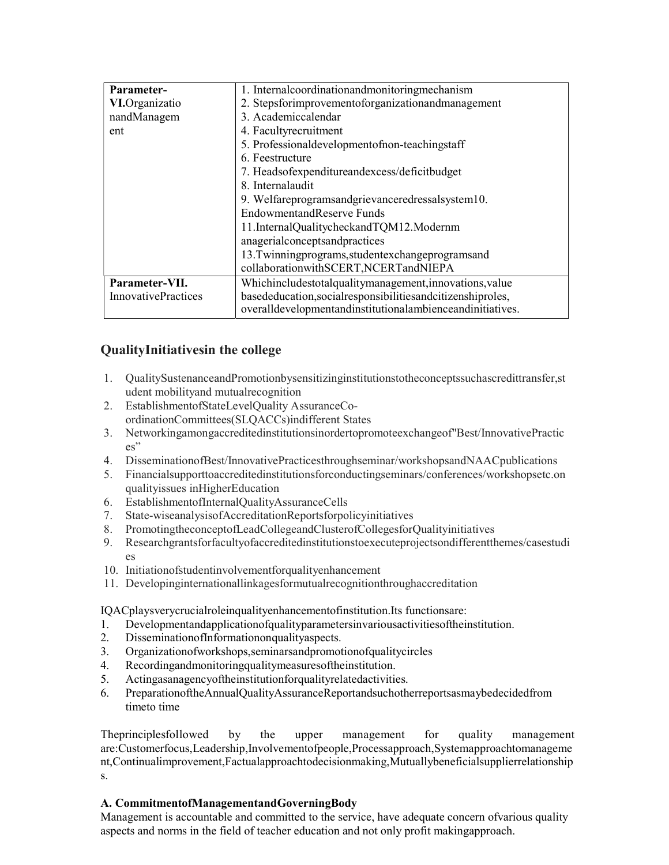| 1. Internalcoordinationandmonitoringmechanism                  |
|----------------------------------------------------------------|
| 2. Stepsforimprovementoforganizationandmanagement              |
| 3. Academiccalendar                                            |
| 4. Facultyrecruitment                                          |
| 5. Professionaldevelopmentofnon-teachingstaff                  |
| 6. Feestructure                                                |
| 7. Headsofexpenditureandexcess/deficitbudget                   |
| 8. Internal audit                                              |
| 9. Welfareprogramsandgrievanceredressalsystem10.               |
| EndowmentandReserve Funds                                      |
| 11.InternalQualitycheckandTQM12.Modernm                        |
| anagerialconceptsandpractices                                  |
| 13. Twinningprograms, studentexchangeprogramsand               |
| collaborationwithSCERT,NCERTandNIEPA                           |
| Whichincludestotalqualitymanagement, innovations, value        |
| basededucation, social responsibilities and citizenship roles, |
| overalldevelopmentandinstitutionalambienceandinitiatives.      |
|                                                                |

# **QualityInitiativesin the college**

- QualitySustenanceandPromotionbysensitizinginstitutionstotheconceptssuchascredittransfer,st 1. udent mobility and mutual recognition
- 2. EstablishmentofStateLevelQuality AssuranceCoordinationCommittees(SLQACCs)indifferent States
- 3. Networkingamongaccreditedinstitutionsinordertopromoteexchangeof"Best/InnovativePractic  $\mathrm{es}$ "
- Dissemination of Best/Innovative Practices through seminar/workshops and NAAC publications 4.
- Financialsupporttoaccreditedinstitutionsforconductingseminars/conferences/workshopsetc.on 5. qualityissues inHigherEducation
- 6. EstablishmentofInternalQualityAssuranceCells
- 7. State-wiseanalysisofAccreditationReportsforpolicyinitiatives
- 8. PromotingtheconceptofLeadCollegeandClusterofCollegesforQualityinitiatives
- 9. Researchgrantsforfacultyofaccreditedinstitutionstoexecuteprojectsondifferentthemes/casestudi  $\overline{e}$ s
- 10. Initiationofstudentinvolvementforqualityenhancement
- 11. Developinginternationallinkagesformutualrecognitionthroughaccreditation

IQACplaysverycrucialroleinqualityenhancementofinstitution.Its functionsare:

- $1.$ Developmentandapplicationofqualityparametersinvariousactivitiesoftheinstitution.
- $2.$ Dissemination of Information on quality aspects.
- $3.$ Organization of workshops, seminars and promotion of quality circles
- $4.$ Recordingandmonitoringqualitymeasuresoftheinstitution.
- Actingasanagencyoftheinstitutionforqualityrelatedactivities. 5.
- PreparationoftheAnnualQualityAssuranceReportandsuchotherreportsasmaybedecidedfrom 6. timeto time

Theprinciplesfollowed by the upper management for quality management are:Customerfocus,Leadership,Involvementofpeople,Processapproach,Systemapproachtomanageme nt, Continualimprovement, Factualapproachtodecisionmaking, Mutuallybeneficialsupplierrelationship S.

### A. CommitmentofManagementandGoverningBody

Management is accountable and committed to the service, have adequate concern ofvarious quality aspects and norms in the field of teacher education and not only profit makingapproach.